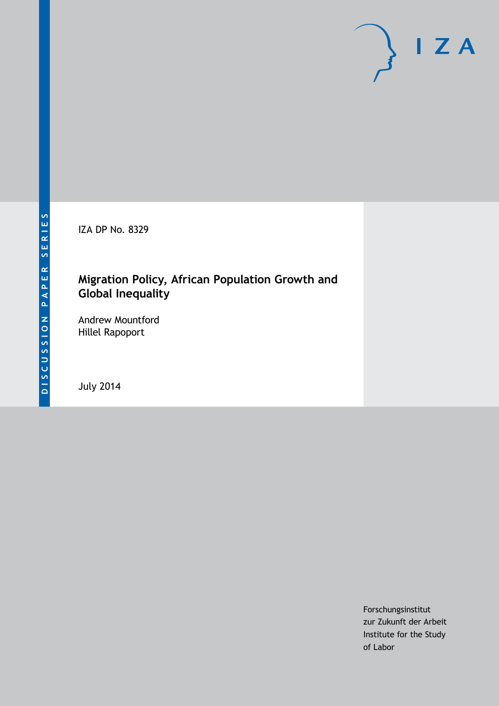IZA DP No. 8329

### **Migration Policy, African Population Growth and Global Inequality**

Andrew Mountford Hillel Rapoport

July 2014

Forschungsinstitut zur Zukunft der Arbeit Institute for the Study of Labor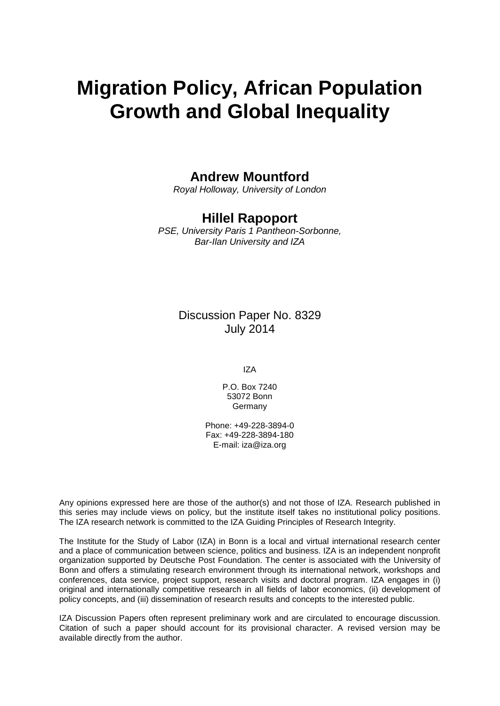# **Migration Policy, African Population Growth and Global Inequality**

#### **Andrew Mountford**

*Royal Holloway, University of London*

### **Hillel Rapoport**

*PSE, University Paris 1 Pantheon-Sorbonne, Bar-Ilan University and IZA*

#### Discussion Paper No. 8329 July 2014

IZA

P.O. Box 7240 53072 Bonn Germany

Phone: +49-228-3894-0 Fax: +49-228-3894-180 E-mail: [iza@iza.org](mailto:iza@iza.org)

Any opinions expressed here are those of the author(s) and not those of IZA. Research published in this series may include views on policy, but the institute itself takes no institutional policy positions. The IZA research network is committed to the IZA Guiding Principles of Research Integrity.

The Institute for the Study of Labor (IZA) in Bonn is a local and virtual international research center and a place of communication between science, politics and business. IZA is an independent nonprofit organization supported by Deutsche Post Foundation. The center is associated with the University of Bonn and offers a stimulating research environment through its international network, workshops and conferences, data service, project support, research visits and doctoral program. IZA engages in (i) original and internationally competitive research in all fields of labor economics, (ii) development of policy concepts, and (iii) dissemination of research results and concepts to the interested public.

<span id="page-1-0"></span>IZA Discussion Papers often represent preliminary work and are circulated to encourage discussion. Citation of such a paper should account for its provisional character. A revised version may be available directly from the author.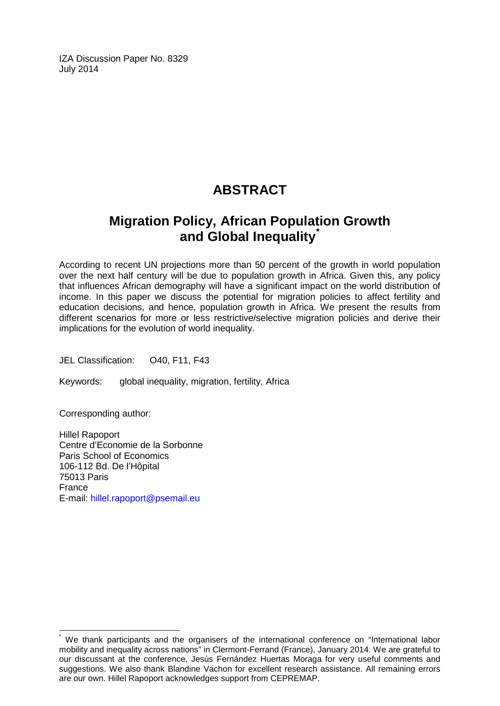IZA Discussion Paper No. 8329 July 2014

### **ABSTRACT**

### **Migration Policy, African Population Growth and Global Inequality[\\*](#page-1-0)**

According to recent UN projections more than 50 percent of the growth in world population over the next half century will be due to population growth in Africa. Given this, any policy that influences African demography will have a significant impact on the world distribution of income. In this paper we discuss the potential for migration policies to affect fertility and education decisions, and hence, population growth in Africa. We present the results from different scenarios for more or less restrictive/selective migration policies and derive their implications for the evolution of world inequality.

JEL Classification: O40, F11, F43

Keywords: global inequality, migration, fertility, Africa

Corresponding author:

Hillel Rapoport Centre d'Economie de la Sorbonne Paris School of Economics 106-112 Bd. De l'Hôpital 75013 Paris France E-mail: [hillel.rapoport@psemail.eu](mailto:hillel.rapoport@psemail.eu)

We thank participants and the organisers of the international conference on "International labor mobility and inequality across nations" in Clermont-Ferrand (France), January 2014. We are grateful to our discussant at the conference, Jesús Fernández Huertas Moraga for very useful comments and suggestions. We also thank Blandine Vachon for excellent research assistance. All remaining errors are our own. Hillel Rapoport acknowledges support from CEPREMAP.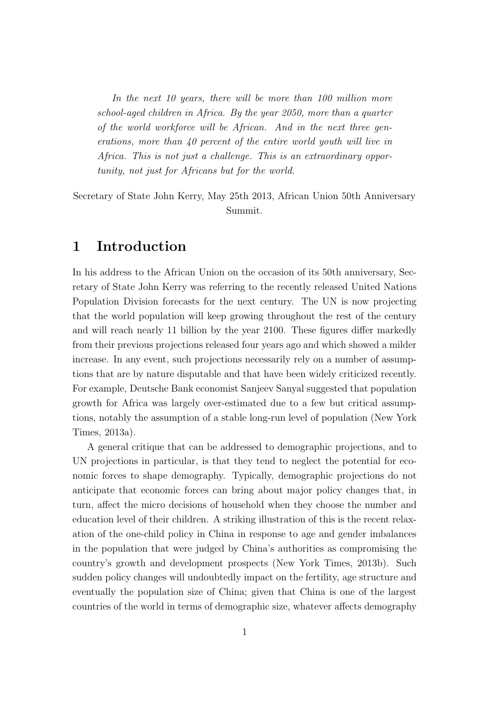In the next 10 years, there will be more than 100 million more school-aged children in Africa. By the year 2050, more than a quarter of the world workforce will be African. And in the next three generations, more than 40 percent of the entire world youth will live in Africa. This is not just a challenge. This is an extraordinary opportunity, not just for Africans but for the world.

Secretary of State John Kerry, May 25th 2013, African Union 50th Anniversary Summit.

### 1 Introduction

In his address to the African Union on the occasion of its 50th anniversary, Secretary of State John Kerry was referring to the recently released United Nations Population Division forecasts for the next century. The UN is now projecting that the world population will keep growing throughout the rest of the century and will reach nearly 11 billion by the year 2100. These figures differ markedly from their previous projections released four years ago and which showed a milder increase. In any event, such projections necessarily rely on a number of assumptions that are by nature disputable and that have been widely criticized recently. For example, Deutsche Bank economist Sanjeev Sanyal suggested that population growth for Africa was largely over-estimated due to a few but critical assumptions, notably the assumption of a stable long-run level of population (New York Times, 2013a).

A general critique that can be addressed to demographic projections, and to UN projections in particular, is that they tend to neglect the potential for economic forces to shape demography. Typically, demographic projections do not anticipate that economic forces can bring about major policy changes that, in turn, affect the micro decisions of household when they choose the number and education level of their children. A striking illustration of this is the recent relaxation of the one-child policy in China in response to age and gender imbalances in the population that were judged by China's authorities as compromising the country's growth and development prospects (New York Times, 2013b). Such sudden policy changes will undoubtedly impact on the fertility, age structure and eventually the population size of China; given that China is one of the largest countries of the world in terms of demographic size, whatever affects demography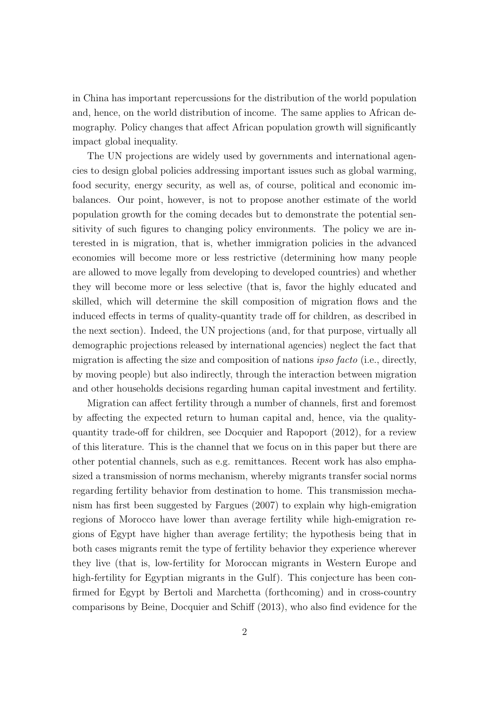in China has important repercussions for the distribution of the world population and, hence, on the world distribution of income. The same applies to African demography. Policy changes that affect African population growth will significantly impact global inequality.

The UN projections are widely used by governments and international agencies to design global policies addressing important issues such as global warming, food security, energy security, as well as, of course, political and economic imbalances. Our point, however, is not to propose another estimate of the world population growth for the coming decades but to demonstrate the potential sensitivity of such figures to changing policy environments. The policy we are interested in is migration, that is, whether immigration policies in the advanced economies will become more or less restrictive (determining how many people are allowed to move legally from developing to developed countries) and whether they will become more or less selective (that is, favor the highly educated and skilled, which will determine the skill composition of migration flows and the induced effects in terms of quality-quantity trade off for children, as described in the next section). Indeed, the UN projections (and, for that purpose, virtually all demographic projections released by international agencies) neglect the fact that migration is affecting the size and composition of nations ipso facto (i.e., directly, by moving people) but also indirectly, through the interaction between migration and other households decisions regarding human capital investment and fertility.

Migration can affect fertility through a number of channels, first and foremost by affecting the expected return to human capital and, hence, via the qualityquantity trade-off for children, see Docquier and Rapoport (2012), for a review of this literature. This is the channel that we focus on in this paper but there are other potential channels, such as e.g. remittances. Recent work has also emphasized a transmission of norms mechanism, whereby migrants transfer social norms regarding fertility behavior from destination to home. This transmission mechanism has first been suggested by Fargues (2007) to explain why high-emigration regions of Morocco have lower than average fertility while high-emigration regions of Egypt have higher than average fertility; the hypothesis being that in both cases migrants remit the type of fertility behavior they experience wherever they live (that is, low-fertility for Moroccan migrants in Western Europe and high-fertility for Egyptian migrants in the Gulf). This conjecture has been confirmed for Egypt by Bertoli and Marchetta (forthcoming) and in cross-country comparisons by Beine, Docquier and Schiff (2013), who also find evidence for the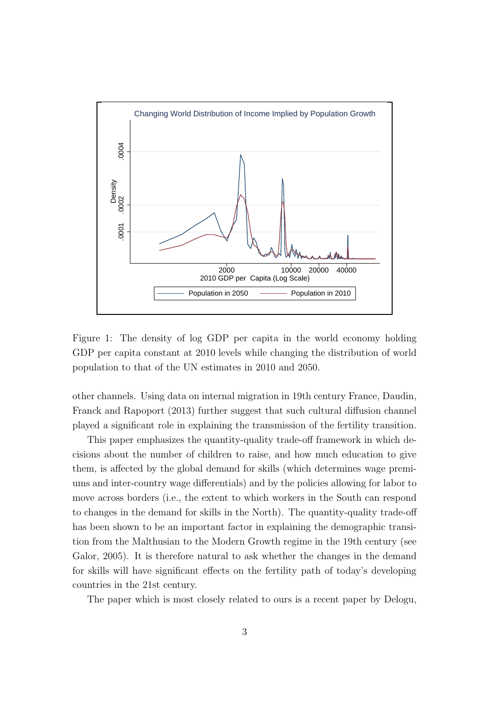

Figure 1: The density of log GDP per capita in the world economy holding GDP per capita constant at 2010 levels while changing the distribution of world population to that of the UN estimates in 2010 and 2050.

other channels. Using data on internal migration in 19th century France, Daudin, Franck and Rapoport (2013) further suggest that such cultural diffusion channel played a significant role in explaining the transmission of the fertility transition.

This paper emphasizes the quantity-quality trade-off framework in which decisions about the number of children to raise, and how much education to give them, is affected by the global demand for skills (which determines wage premiums and inter-country wage differentials) and by the policies allowing for labor to move across borders (i.e., the extent to which workers in the South can respond to changes in the demand for skills in the North). The quantity-quality trade-off has been shown to be an important factor in explaining the demographic transition from the Malthusian to the Modern Growth regime in the 19th century (see Galor, 2005). It is therefore natural to ask whether the changes in the demand for skills will have significant effects on the fertility path of today's developing countries in the 21st century.

The paper which is most closely related to ours is a recent paper by Delogu,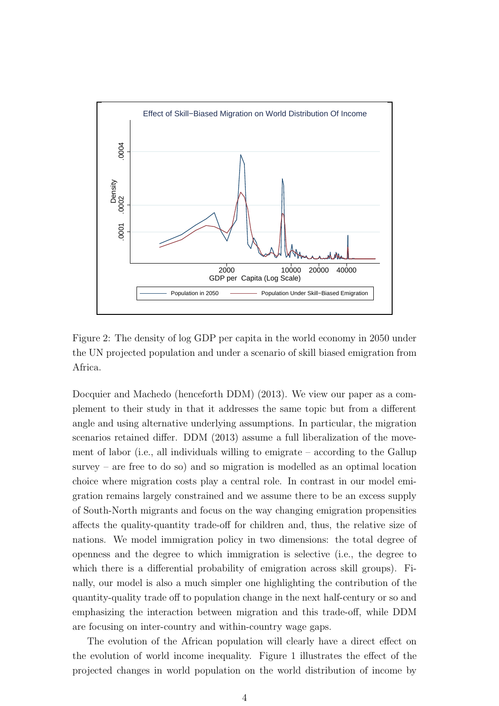

Figure 2: The density of log GDP per capita in the world economy in 2050 under the UN projected population and under a scenario of skill biased emigration from Africa.

Docquier and Machedo (henceforth DDM) (2013). We view our paper as a complement to their study in that it addresses the same topic but from a different angle and using alternative underlying assumptions. In particular, the migration scenarios retained differ. DDM (2013) assume a full liberalization of the movement of labor (i.e., all individuals willing to emigrate – according to the Gallup survey – are free to do so) and so migration is modelled as an optimal location choice where migration costs play a central role. In contrast in our model emigration remains largely constrained and we assume there to be an excess supply of South-North migrants and focus on the way changing emigration propensities affects the quality-quantity trade-off for children and, thus, the relative size of nations. We model immigration policy in two dimensions: the total degree of openness and the degree to which immigration is selective (i.e., the degree to which there is a differential probability of emigration across skill groups). Finally, our model is also a much simpler one highlighting the contribution of the quantity-quality trade off to population change in the next half-century or so and emphasizing the interaction between migration and this trade-off, while DDM are focusing on inter-country and within-country wage gaps.

The evolution of the African population will clearly have a direct effect on the evolution of world income inequality. Figure 1 illustrates the effect of the projected changes in world population on the world distribution of income by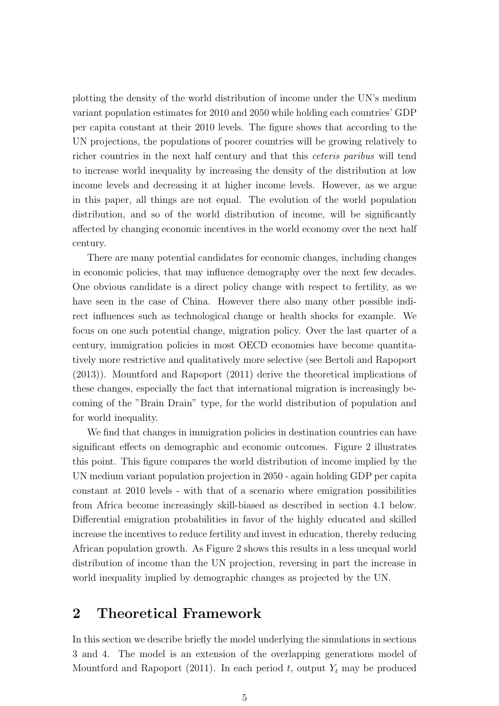plotting the density of the world distribution of income under the UN's medium variant population estimates for 2010 and 2050 while holding each countries' GDP per capita constant at their 2010 levels. The figure shows that according to the UN projections, the populations of poorer countries will be growing relatively to richer countries in the next half century and that this ceteris paribus will tend to increase world inequality by increasing the density of the distribution at low income levels and decreasing it at higher income levels. However, as we argue in this paper, all things are not equal. The evolution of the world population distribution, and so of the world distribution of income, will be significantly affected by changing economic incentives in the world economy over the next half century.

There are many potential candidates for economic changes, including changes in economic policies, that may influence demography over the next few decades. One obvious candidate is a direct policy change with respect to fertility, as we have seen in the case of China. However there also many other possible indirect influences such as technological change or health shocks for example. We focus on one such potential change, migration policy. Over the last quarter of a century, immigration policies in most OECD economies have become quantitatively more restrictive and qualitatively more selective (see Bertoli and Rapoport (2013)). Mountford and Rapoport (2011) derive the theoretical implications of these changes, especially the fact that international migration is increasingly becoming of the "Brain Drain" type, for the world distribution of population and for world inequality.

We find that changes in immigration policies in destination countries can have significant effects on demographic and economic outcomes. Figure 2 illustrates this point. This figure compares the world distribution of income implied by the UN medium variant population projection in 2050 - again holding GDP per capita constant at 2010 levels - with that of a scenario where emigration possibilities from Africa become increasingly skill-biased as described in section 4.1 below. Differential emigration probabilities in favor of the highly educated and skilled increase the incentives to reduce fertility and invest in education, thereby reducing African population growth. As Figure 2 shows this results in a less unequal world distribution of income than the UN projection, reversing in part the increase in world inequality implied by demographic changes as projected by the UN.

### 2 Theoretical Framework

In this section we describe briefly the model underlying the simulations in sections 3 and 4. The model is an extension of the overlapping generations model of Mountford and Rapoport (2011). In each period  $t$ , output  $Y_t$  may be produced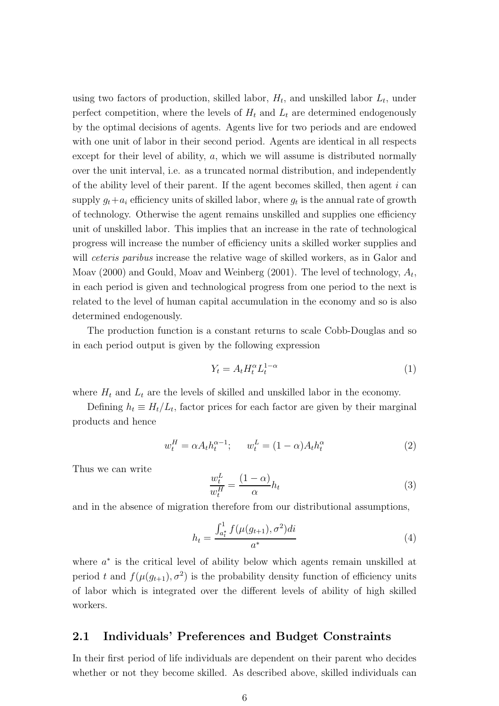using two factors of production, skilled labor,  $H_t$ , and unskilled labor  $L_t$ , under perfect competition, where the levels of  $H_t$  and  $L_t$  are determined endogenously by the optimal decisions of agents. Agents live for two periods and are endowed with one unit of labor in their second period. Agents are identical in all respects except for their level of ability,  $a$ , which we will assume is distributed normally over the unit interval, i.e. as a truncated normal distribution, and independently of the ability level of their parent. If the agent becomes skilled, then agent  $i$  can supply  $g_t + a_i$  efficiency units of skilled labor, where  $g_t$  is the annual rate of growth of technology. Otherwise the agent remains unskilled and supplies one efficiency unit of unskilled labor. This implies that an increase in the rate of technological progress will increase the number of efficiency units a skilled worker supplies and will *ceteris paribus* increase the relative wage of skilled workers, as in Galor and Moav (2000) and Gould, Moav and Weinberg (2001). The level of technology,  $A_t$ , in each period is given and technological progress from one period to the next is related to the level of human capital accumulation in the economy and so is also determined endogenously.

The production function is a constant returns to scale Cobb-Douglas and so in each period output is given by the following expression

$$
Y_t = A_t H_t^{\alpha} L_t^{1-\alpha} \tag{1}
$$

where  $H_t$  and  $L_t$  are the levels of skilled and unskilled labor in the economy.

Defining  $h_t \equiv H_t/L_t$ , factor prices for each factor are given by their marginal products and hence

$$
w_t^H = \alpha A_t h_t^{\alpha - 1}; \qquad w_t^L = (1 - \alpha) A_t h_t^{\alpha}
$$
 (2)

Thus we can write

$$
\frac{w_t^L}{w_t^H} = \frac{(1-\alpha)}{\alpha} h_t \tag{3}
$$

and in the absence of migration therefore from our distributional assumptions,

$$
h_t = \frac{\int_{a_t^*}^1 f(\mu(g_{t+1}), \sigma^2) di}{a^*}
$$
 (4)

where  $a^*$  is the critical level of ability below which agents remain unskilled at period t and  $f(\mu(g_{t+1}), \sigma^2)$  is the probability density function of efficiency units of labor which is integrated over the different levels of ability of high skilled workers.

#### 2.1 Individuals' Preferences and Budget Constraints

In their first period of life individuals are dependent on their parent who decides whether or not they become skilled. As described above, skilled individuals can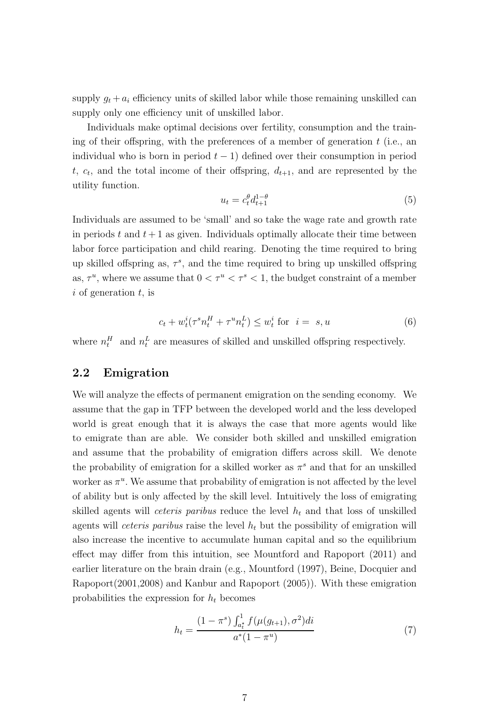supply  $g_t + a_i$  efficiency units of skilled labor while those remaining unskilled can supply only one efficiency unit of unskilled labor.

Individuals make optimal decisions over fertility, consumption and the training of their offspring, with the preferences of a member of generation  $t$  (i.e., an individual who is born in period  $t - 1$ ) defined over their consumption in period  $t, c_t$ , and the total income of their offspring,  $d_{t+1}$ , and are represented by the utility function.

$$
u_t = c_t^{\theta} d_{t+1}^{1-\theta} \tag{5}
$$

Individuals are assumed to be 'small' and so take the wage rate and growth rate in periods t and  $t + 1$  as given. Individuals optimally allocate their time between labor force participation and child rearing. Denoting the time required to bring up skilled offspring as,  $\tau^s$ , and the time required to bring up unskilled offspring as,  $\tau^u$ , where we assume that  $0 < \tau^u < \tau^s < 1$ , the budget constraint of a member  $i$  of generation  $t$ , is

$$
c_t + w_t^i(\tau^s n_t^H + \tau^u n_t^L) \le w_t^i \quad \text{for} \quad i = s, u \tag{6}
$$

where  $n_t^H$  and  $n_t^L$  are measures of skilled and unskilled offspring respectively.

#### 2.2 Emigration

We will analyze the effects of permanent emigration on the sending economy. We assume that the gap in TFP between the developed world and the less developed world is great enough that it is always the case that more agents would like to emigrate than are able. We consider both skilled and unskilled emigration and assume that the probability of emigration differs across skill. We denote the probability of emigration for a skilled worker as  $\pi^s$  and that for an unskilled worker as  $\pi^u$ . We assume that probability of emigration is not affected by the level of ability but is only affected by the skill level. Intuitively the loss of emigrating skilled agents will *ceteris paribus* reduce the level  $h_t$  and that loss of unskilled agents will *ceteris paribus* raise the level  $h_t$  but the possibility of emigration will also increase the incentive to accumulate human capital and so the equilibrium effect may differ from this intuition, see Mountford and Rapoport (2011) and earlier literature on the brain drain (e.g., Mountford (1997), Beine, Docquier and Rapoport(2001,2008) and Kanbur and Rapoport (2005)). With these emigration probabilities the expression for  $h_t$  becomes

$$
h_t = \frac{(1 - \pi^s) \int_{a_t^*}^1 f(\mu(g_{t+1}), \sigma^2) di}{a^*(1 - \pi^u)}
$$
(7)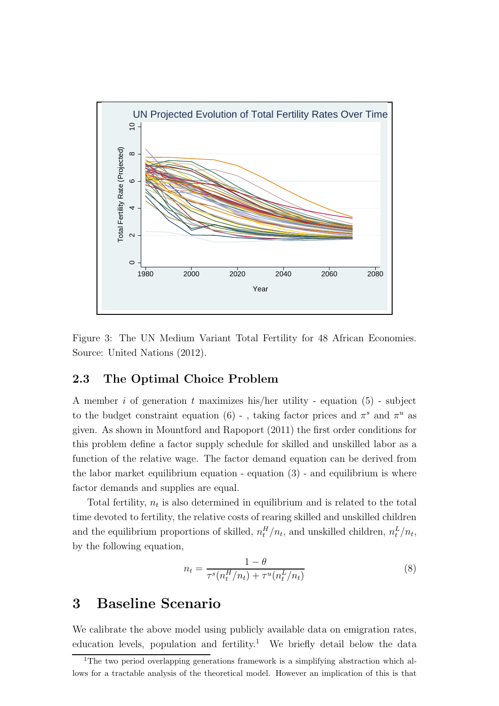

Figure 3: The UN Medium Variant Total Fertility for 48 African Economies. Source: United Nations (2012).

#### 2.3 The Optimal Choice Problem

A member i of generation t maximizes his/her utility - equation  $(5)$  - subject to the budget constraint equation (6) - , taking factor prices and  $\pi^s$  and  $\pi^u$  as given. As shown in Mountford and Rapoport (2011) the first order conditions for this problem define a factor supply schedule for skilled and unskilled labor as a function of the relative wage. The factor demand equation can be derived from the labor market equilibrium equation  $\epsilon$  - equation (3)  $\epsilon$  and equilibrium is where factor demands and supplies are equal.

Total fertility,  $n_t$  is also determined in equilibrium and is related to the total time devoted to fertility, the relative costs of rearing skilled and unskilled children and the equilibrium proportions of skilled,  $n_t^H/n_t$ , and unskilled children,  $n_t^L/n_t$ , by the following equation,

$$
n_t = \frac{1 - \theta}{\tau^s (n_t^H / n_t) + \tau^u (n_t^L / n_t)}
$$
(8)

### 3 Baseline Scenario

We calibrate the above model using publicly available data on emigration rates, education levels, population and fertility.<sup>1</sup> We briefly detail below the data

<sup>&</sup>lt;sup>1</sup>The two period overlapping generations framework is a simplifying abstraction which allows for a tractable analysis of the theoretical model. However an implication of this is that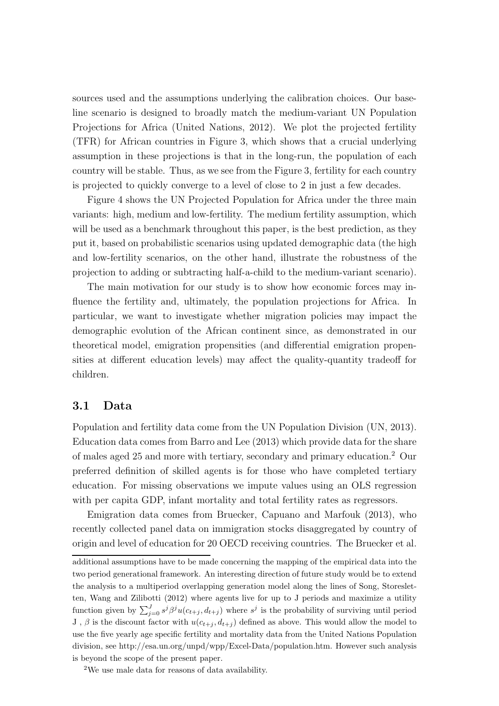sources used and the assumptions underlying the calibration choices. Our baseline scenario is designed to broadly match the medium-variant UN Population Projections for Africa (United Nations, 2012). We plot the projected fertility (TFR) for African countries in Figure 3, which shows that a crucial underlying assumption in these projections is that in the long-run, the population of each country will be stable. Thus, as we see from the Figure 3, fertility for each country is projected to quickly converge to a level of close to 2 in just a few decades.

Figure 4 shows the UN Projected Population for Africa under the three main variants: high, medium and low-fertility. The medium fertility assumption, which will be used as a benchmark throughout this paper, is the best prediction, as they put it, based on probabilistic scenarios using updated demographic data (the high and low-fertility scenarios, on the other hand, illustrate the robustness of the projection to adding or subtracting half-a-child to the medium-variant scenario).

The main motivation for our study is to show how economic forces may influence the fertility and, ultimately, the population projections for Africa. In particular, we want to investigate whether migration policies may impact the demographic evolution of the African continent since, as demonstrated in our theoretical model, emigration propensities (and differential emigration propensities at different education levels) may affect the quality-quantity tradeoff for children.

#### 3.1 Data

Population and fertility data come from the UN Population Division (UN, 2013). Education data comes from Barro and Lee (2013) which provide data for the share of males aged 25 and more with tertiary, secondary and primary education.<sup>2</sup> Our preferred definition of skilled agents is for those who have completed tertiary education. For missing observations we impute values using an OLS regression with per capita GDP, infant mortality and total fertility rates as regressors.

Emigration data comes from Bruecker, Capuano and Marfouk (2013), who recently collected panel data on immigration stocks disaggregated by country of origin and level of education for 20 OECD receiving countries. The Bruecker et al.

<sup>2</sup>We use male data for reasons of data availability.

additional assumptions have to be made concerning the mapping of the empirical data into the two period generational framework. An interesting direction of future study would be to extend the analysis to a multiperiod overlapping generation model along the lines of Song, Storesletten, Wang and Zilibotti (2012) where agents live for up to J periods and maximize a utility function given by  $\sum_{j=0}^{J} s^j \beta^j u(c_{t+j}, d_{t+j})$  where  $s^j$  is the probability of surviving until period J,  $\beta$  is the discount factor with  $u(c_{t+j}, d_{t+j})$  defined as above. This would allow the model to use the five yearly age specific fertility and mortality data from the United Nations Population division, see http://esa.un.org/unpd/wpp/Excel-Data/population.htm. However such analysis is beyond the scope of the present paper.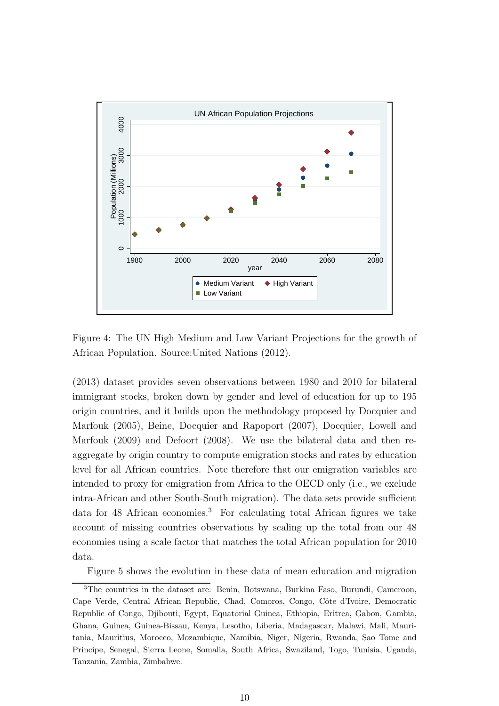

Figure 4: The UN High Medium and Low Variant Projections for the growth of African Population. Source:United Nations (2012).

(2013) dataset provides seven observations between 1980 and 2010 for bilateral immigrant stocks, broken down by gender and level of education for up to 195 origin countries, and it builds upon the methodology proposed by Docquier and Marfouk (2005), Beine, Docquier and Rapoport (2007), Docquier, Lowell and Marfouk (2009) and Defoort (2008). We use the bilateral data and then reaggregate by origin country to compute emigration stocks and rates by education level for all African countries. Note therefore that our emigration variables are intended to proxy for emigration from Africa to the OECD only (i.e., we exclude intra-African and other South-South migration). The data sets provide sufficient data for 48 African economies.<sup>3</sup> For calculating total African figures we take account of missing countries observations by scaling up the total from our 48 economies using a scale factor that matches the total African population for 2010 data.

Figure 5 shows the evolution in these data of mean education and migration

<sup>&</sup>lt;sup>3</sup>The countries in the dataset are: Benin, Botswana, Burkina Faso, Burundi, Cameroon, Cape Verde, Central African Republic, Chad, Comoros, Congo, Côte d'Ivoire, Democratic Republic of Congo, Djibouti, Egypt, Equatorial Guinea, Ethiopia, Eritrea, Gabon, Gambia, Ghana, Guinea, Guinea-Bissau, Kenya, Lesotho, Liberia, Madagascar, Malawi, Mali, Mauritania, Mauritius, Morocco, Mozambique, Namibia, Niger, Nigeria, Rwanda, Sao Tome and Principe, Senegal, Sierra Leone, Somalia, South Africa, Swaziland, Togo, Tunisia, Uganda, Tanzania, Zambia, Zimbabwe.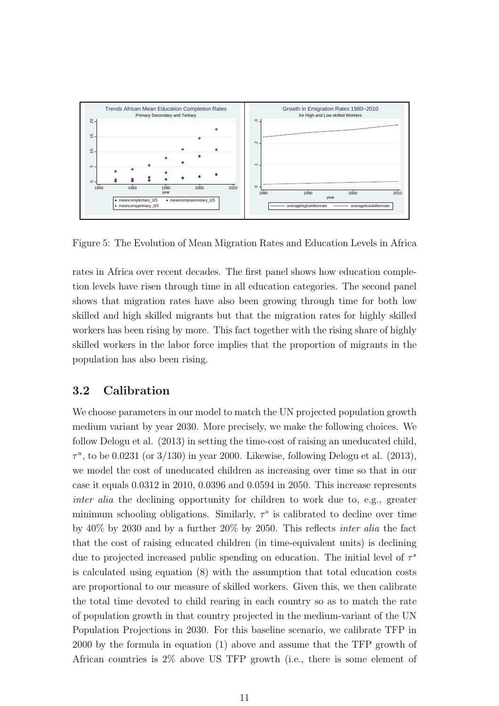

Figure 5: The Evolution of Mean Migration Rates and Education Levels in Africa

rates in Africa over recent decades. The first panel shows how education completion levels have risen through time in all education categories. The second panel shows that migration rates have also been growing through time for both low skilled and high skilled migrants but that the migration rates for highly skilled workers has been rising by more. This fact together with the rising share of highly skilled workers in the labor force implies that the proportion of migrants in the population has also been rising.

#### 3.2 Calibration

We choose parameters in our model to match the UN projected population growth medium variant by year 2030. More precisely, we make the following choices. We follow Delogu et al. (2013) in setting the time-cost of raising an uneducated child,  $\tau^u$ , to be 0.0231 (or 3/130) in year 2000. Likewise, following Delogu et al. (2013), we model the cost of uneducated children as increasing over time so that in our case it equals 0.0312 in 2010, 0.0396 and 0.0594 in 2050. This increase represents inter alia the declining opportunity for children to work due to, e.g., greater minimum schooling obligations. Similarly,  $\tau^s$  is calibrated to decline over time by 40% by 2030 and by a further 20% by 2050. This reflects inter alia the fact that the cost of raising educated children (in time-equivalent units) is declining due to projected increased public spending on education. The initial level of  $\tau^s$ is calculated using equation (8) with the assumption that total education costs are proportional to our measure of skilled workers. Given this, we then calibrate the total time devoted to child rearing in each country so as to match the rate of population growth in that country projected in the medium-variant of the UN Population Projections in 2030. For this baseline scenario, we calibrate TFP in 2000 by the formula in equation (1) above and assume that the TFP growth of African countries is 2% above US TFP growth (i.e., there is some element of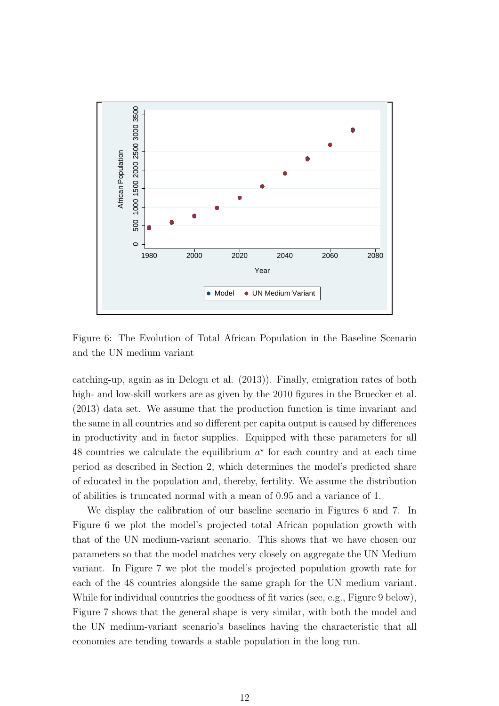

Figure 6: The Evolution of Total African Population in the Baseline Scenario and the UN medium variant

catching-up, again as in Delogu et al. (2013)). Finally, emigration rates of both high- and low-skill workers are as given by the 2010 figures in the Bruecker et al. (2013) data set. We assume that the production function is time invariant and the same in all countries and so different per capita output is caused by differences in productivity and in factor supplies. Equipped with these parameters for all 48 countries we calculate the equilibrium  $a^*$  for each country and at each time period as described in Section 2, which determines the model's predicted share of educated in the population and, thereby, fertility. We assume the distribution of abilities is truncated normal with a mean of 0.95 and a variance of 1.

We display the calibration of our baseline scenario in Figures 6 and 7. In Figure 6 we plot the model's projected total African population growth with that of the UN medium-variant scenario. This shows that we have chosen our parameters so that the model matches very closely on aggregate the UN Medium variant. In Figure 7 we plot the model's projected population growth rate for each of the 48 countries alongside the same graph for the UN medium variant. While for individual countries the goodness of fit varies (see, e.g., Figure 9 below), Figure 7 shows that the general shape is very similar, with both the model and the UN medium-variant scenario's baselines having the characteristic that all economies are tending towards a stable population in the long run.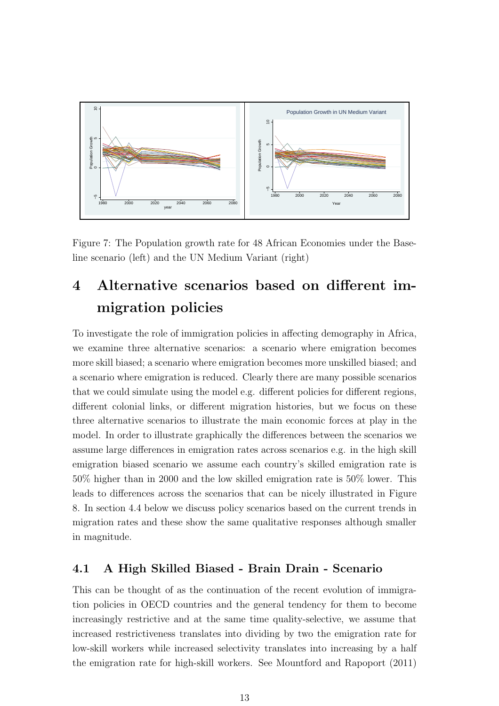

Figure 7: The Population growth rate for 48 African Economies under the Baseline scenario (left) and the UN Medium Variant (right)

## 4 Alternative scenarios based on different immigration policies

To investigate the role of immigration policies in affecting demography in Africa, we examine three alternative scenarios: a scenario where emigration becomes more skill biased; a scenario where emigration becomes more unskilled biased; and a scenario where emigration is reduced. Clearly there are many possible scenarios that we could simulate using the model e.g. different policies for different regions, different colonial links, or different migration histories, but we focus on these three alternative scenarios to illustrate the main economic forces at play in the model. In order to illustrate graphically the differences between the scenarios we assume large differences in emigration rates across scenarios e.g. in the high skill emigration biased scenario we assume each country's skilled emigration rate is 50% higher than in 2000 and the low skilled emigration rate is 50% lower. This leads to differences across the scenarios that can be nicely illustrated in Figure 8. In section 4.4 below we discuss policy scenarios based on the current trends in migration rates and these show the same qualitative responses although smaller in magnitude.

#### 4.1 A High Skilled Biased - Brain Drain - Scenario

This can be thought of as the continuation of the recent evolution of immigration policies in OECD countries and the general tendency for them to become increasingly restrictive and at the same time quality-selective, we assume that increased restrictiveness translates into dividing by two the emigration rate for low-skill workers while increased selectivity translates into increasing by a half the emigration rate for high-skill workers. See Mountford and Rapoport (2011)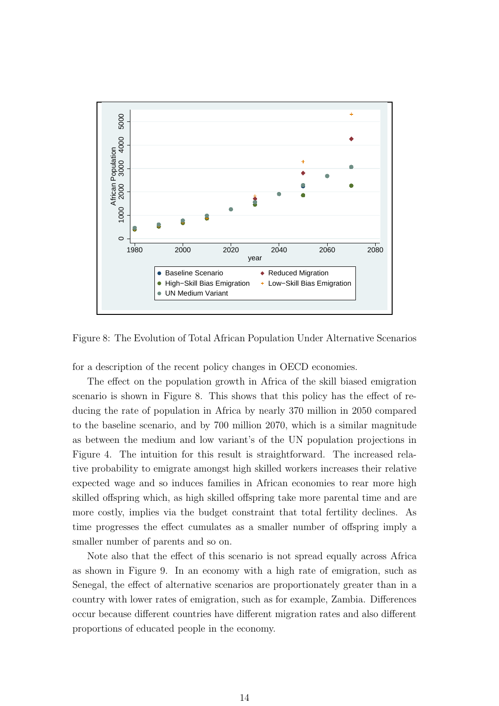

Figure 8: The Evolution of Total African Population Under Alternative Scenarios

for a description of the recent policy changes in OECD economies.

The effect on the population growth in Africa of the skill biased emigration scenario is shown in Figure 8. This shows that this policy has the effect of reducing the rate of population in Africa by nearly 370 million in 2050 compared to the baseline scenario, and by 700 million 2070, which is a similar magnitude as between the medium and low variant's of the UN population projections in Figure 4. The intuition for this result is straightforward. The increased relative probability to emigrate amongst high skilled workers increases their relative expected wage and so induces families in African economies to rear more high skilled offspring which, as high skilled offspring take more parental time and are more costly, implies via the budget constraint that total fertility declines. As time progresses the effect cumulates as a smaller number of offspring imply a smaller number of parents and so on.

Note also that the effect of this scenario is not spread equally across Africa as shown in Figure 9. In an economy with a high rate of emigration, such as Senegal, the effect of alternative scenarios are proportionately greater than in a country with lower rates of emigration, such as for example, Zambia. Differences occur because different countries have different migration rates and also different proportions of educated people in the economy.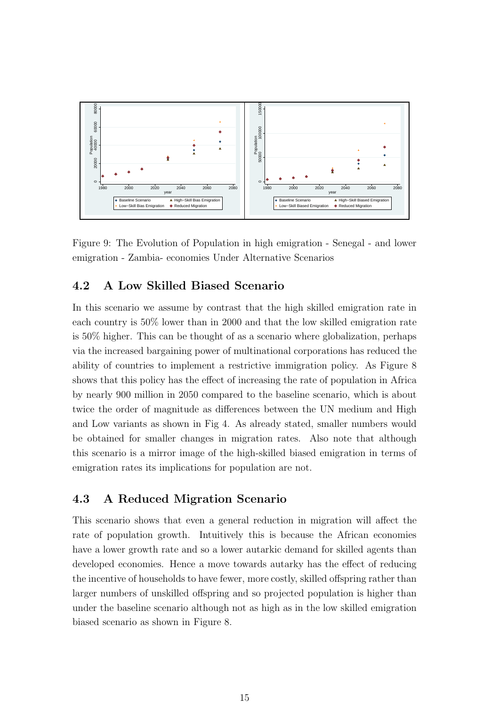

Figure 9: The Evolution of Population in high emigration - Senegal - and lower emigration - Zambia- economies Under Alternative Scenarios

#### 4.2 A Low Skilled Biased Scenario

In this scenario we assume by contrast that the high skilled emigration rate in each country is 50% lower than in 2000 and that the low skilled emigration rate is 50% higher. This can be thought of as a scenario where globalization, perhaps via the increased bargaining power of multinational corporations has reduced the ability of countries to implement a restrictive immigration policy. As Figure 8 shows that this policy has the effect of increasing the rate of population in Africa by nearly 900 million in 2050 compared to the baseline scenario, which is about twice the order of magnitude as differences between the UN medium and High and Low variants as shown in Fig 4. As already stated, smaller numbers would be obtained for smaller changes in migration rates. Also note that although this scenario is a mirror image of the high-skilled biased emigration in terms of emigration rates its implications for population are not.

#### 4.3 A Reduced Migration Scenario

This scenario shows that even a general reduction in migration will affect the rate of population growth. Intuitively this is because the African economies have a lower growth rate and so a lower autarkic demand for skilled agents than developed economies. Hence a move towards autarky has the effect of reducing the incentive of households to have fewer, more costly, skilled offspring rather than larger numbers of unskilled offspring and so projected population is higher than under the baseline scenario although not as high as in the low skilled emigration biased scenario as shown in Figure 8.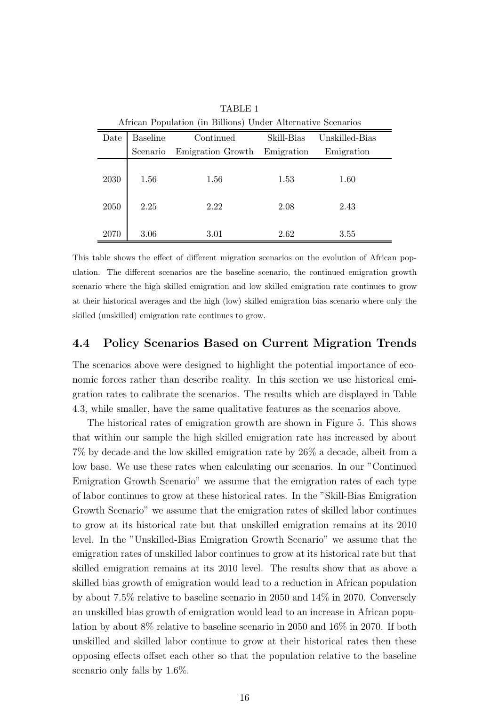| African Population (in Billions) Under Alternative Scenarios |                 |                   |            |                |
|--------------------------------------------------------------|-----------------|-------------------|------------|----------------|
| Date                                                         | <b>Baseline</b> | Continued         | Skill-Bias | Unskilled-Bias |
|                                                              | Scenario        | Emigration Growth | Emigration | Emigration     |
|                                                              |                 |                   |            |                |
| 2030                                                         | 1.56            | 1.56              | 1.53       | 1.60           |
|                                                              |                 |                   |            |                |
| 2050                                                         | 2.25            | 2.22              | 2.08       | 2.43           |
|                                                              |                 |                   |            |                |
| 2070                                                         | 3.06            | 3.01              | 2.62       | 3.55           |

TABLE 1

This table shows the effect of different migration scenarios on the evolution of African population. The different scenarios are the baseline scenario, the continued emigration growth scenario where the high skilled emigration and low skilled emigration rate continues to grow at their historical averages and the high (low) skilled emigration bias scenario where only the skilled (unskilled) emigration rate continues to grow.

#### 4.4 Policy Scenarios Based on Current Migration Trends

The scenarios above were designed to highlight the potential importance of economic forces rather than describe reality. In this section we use historical emigration rates to calibrate the scenarios. The results which are displayed in Table 4.3, while smaller, have the same qualitative features as the scenarios above.

The historical rates of emigration growth are shown in Figure 5. This shows that within our sample the high skilled emigration rate has increased by about 7% by decade and the low skilled emigration rate by 26% a decade, albeit from a low base. We use these rates when calculating our scenarios. In our "Continued Emigration Growth Scenario" we assume that the emigration rates of each type of labor continues to grow at these historical rates. In the "Skill-Bias Emigration Growth Scenario" we assume that the emigration rates of skilled labor continues to grow at its historical rate but that unskilled emigration remains at its 2010 level. In the "Unskilled-Bias Emigration Growth Scenario" we assume that the emigration rates of unskilled labor continues to grow at its historical rate but that skilled emigration remains at its 2010 level. The results show that as above a skilled bias growth of emigration would lead to a reduction in African population by about 7.5% relative to baseline scenario in 2050 and 14% in 2070. Conversely an unskilled bias growth of emigration would lead to an increase in African population by about 8% relative to baseline scenario in 2050 and 16% in 2070. If both unskilled and skilled labor continue to grow at their historical rates then these opposing effects offset each other so that the population relative to the baseline scenario only falls by 1.6%.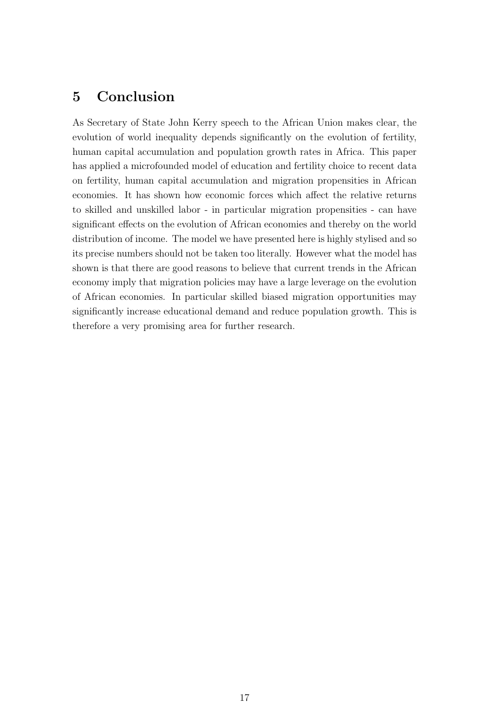### 5 Conclusion

As Secretary of State John Kerry speech to the African Union makes clear, the evolution of world inequality depends significantly on the evolution of fertility, human capital accumulation and population growth rates in Africa. This paper has applied a microfounded model of education and fertility choice to recent data on fertility, human capital accumulation and migration propensities in African economies. It has shown how economic forces which affect the relative returns to skilled and unskilled labor - in particular migration propensities - can have significant effects on the evolution of African economies and thereby on the world distribution of income. The model we have presented here is highly stylised and so its precise numbers should not be taken too literally. However what the model has shown is that there are good reasons to believe that current trends in the African economy imply that migration policies may have a large leverage on the evolution of African economies. In particular skilled biased migration opportunities may significantly increase educational demand and reduce population growth. This is therefore a very promising area for further research.